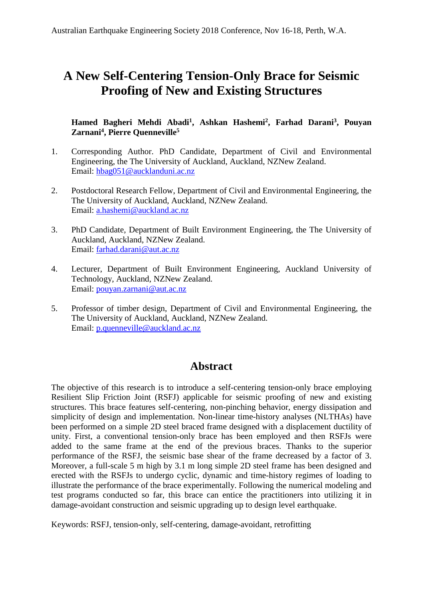# **A New Self-Centering Tension-Only Brace for Seismic Proofing of New and Existing Structures**

#### **Hamed Bagheri Mehdi Abadi1, Ashkan Hashemi2, Farhad Darani3, Pouyan Zarnani4, Pierre Quenneville5**

- 1. Corresponding Author. PhD Candidate, Department of Civil and Environmental Engineering, the The University of Auckland, Auckland, NZNew Zealand. Email: hbag051@aucklanduni.ac.nz
- 2. Postdoctoral Research Fellow, Department of Civil and Environmental Engineering, the The University of Auckland, Auckland, NZNew Zealand. Email: a.hashemi@auckland.ac.nz
- 3. PhD Candidate, Department of Built Environment Engineering, the The University of Auckland, Auckland, NZNew Zealand. Email: farhad.darani@aut.ac.nz
- 4. Lecturer, Department of Built Environment Engineering, Auckland University of Technology, Auckland, NZNew Zealand. Email: pouyan.zarnani@aut.ac.nz
- 5. Professor of timber design, Department of Civil and Environmental Engineering, the The University of Auckland, Auckland, NZNew Zealand. Email: p.quenneville@auckland.ac.nz

# **Abstract**

The objective of this research is to introduce a self-centering tension-only brace employing Resilient Slip Friction Joint (RSFJ) applicable for seismic proofing of new and existing structures. This brace features self-centering, non-pinching behavior, energy dissipation and simplicity of design and implementation. Non-linear time-history analyses (NLTHAs) have been performed on a simple 2D steel braced frame designed with a displacement ductility of unity. First, a conventional tension-only brace has been employed and then RSFJs were added to the same frame at the end of the previous braces. Thanks to the superior performance of the RSFJ, the seismic base shear of the frame decreased by a factor of 3. Moreover, a full-scale 5 m high by 3.1 m long simple 2D steel frame has been designed and erected with the RSFJs to undergo cyclic, dynamic and time-history regimes of loading to illustrate the performance of the brace experimentally. Following the numerical modeling and test programs conducted so far, this brace can entice the practitioners into utilizing it in damage-avoidant construction and seismic upgrading up to design level earthquake.

Keywords: RSFJ, tension-only, self-centering, damage-avoidant, retrofitting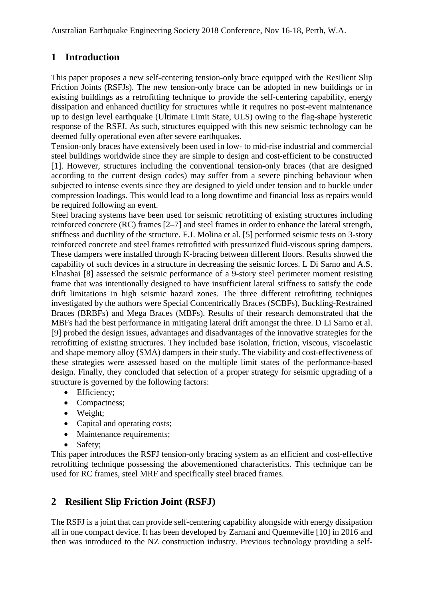#### **1 Introduction**

This paper proposes a new self-centering tension-only brace equipped with the Resilient Slip Friction Joints (RSFJs). The new tension-only brace can be adopted in new buildings or in existing buildings as a retrofitting technique to provide the self-centering capability, energy dissipation and enhanced ductility for structures while it requires no post-event maintenance up to design level earthquake (Ultimate Limit State, ULS) owing to the flag-shape hysteretic response of the RSFJ. As such, structures equipped with this new seismic technology can be deemed fully operational even after severe earthquakes.

Tension-only braces have extensively been used in low- to mid-rise industrial and commercial steel buildings worldwide since they are simple to design and cost-efficient to be constructed [1]. However, structures including the conventional tension-only braces (that are designed according to the current design codes) may suffer from a severe pinching behaviour when subjected to intense events since they are designed to yield under tension and to buckle under compression loadings. This would lead to a long downtime and financial loss as repairs would be required following an event.

Steel bracing systems have been used for seismic retrofitting of existing structures including reinforced concrete (RC) frames [2–7] and steel frames in order to enhance the lateral strength, stiffness and ductility of the structure. F.J. Molina et al. [5] performed seismic tests on 3-story reinforced concrete and steel frames retrofitted with pressurized fluid-viscous spring dampers. These dampers were installed through K-bracing between different floors. Results showed the capability of such devices in a structure in decreasing the seismic forces. L Di Sarno and A.S. Elnashai [8] assessed the seismic performance of a 9-story steel perimeter moment resisting frame that was intentionally designed to have insufficient lateral stiffness to satisfy the code drift limitations in high seismic hazard zones. The three different retrofitting techniques investigated by the authors were Special Concentrically Braces (SCBFs), Buckling-Restrained Braces (BRBFs) and Mega Braces (MBFs). Results of their research demonstrated that the MBFs had the best performance in mitigating lateral drift amongst the three. D Li Sarno et al. [9] probed the design issues, advantages and disadvantages of the innovative strategies for the retrofitting of existing structures. They included base isolation, friction, viscous, viscoelastic and shape memory alloy (SMA) dampers in their study. The viability and cost-effectiveness of these strategies were assessed based on the multiple limit states of the performance-based design. Finally, they concluded that selection of a proper strategy for seismic upgrading of a structure is governed by the following factors:

- Efficiency;
- Compactness:
- Weight;
- Capital and operating costs;
- Maintenance requirements;
- Safety:

This paper introduces the RSFJ tension-only bracing system as an efficient and cost-effective retrofitting technique possessing the abovementioned characteristics. This technique can be used for RC frames, steel MRF and specifically steel braced frames.

## **2 Resilient Slip Friction Joint (RSFJ)**

The RSFJ is a joint that can provide self-centering capability alongside with energy dissipation all in one compact device. It has been developed by Zarnani and Quenneville [10] in 2016 and then was introduced to the NZ construction industry. Previous technology providing a self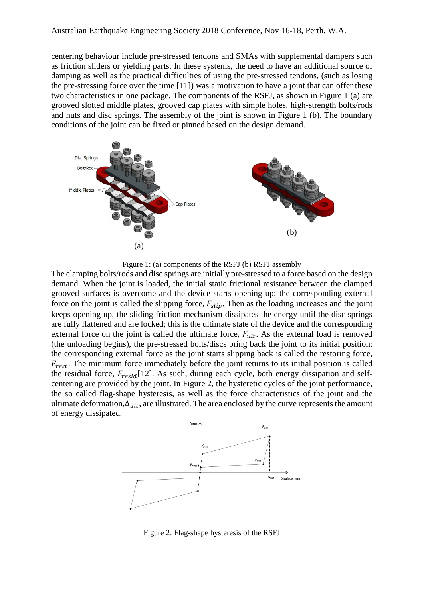Australian Earthquake Engineering Society 2018 Conference, Nov 16-18, Perth, W.A.

centering behaviour include pre-stressed tendons and SMAs with supplemental dampers such as friction sliders or yielding parts. In these systems, the need to have an additional source of damping as well as the practical difficulties of using the pre-stressed tendons, (such as losing the pre-stressing force over the time [11]) was a motivation to have a joint that can offer these two characteristics in one package. The components of the RSFJ, as shown in [Figure 1](#page-2-0) (a) are grooved slotted middle plates, grooved cap plates with simple holes, high-strength bolts/rods and nuts and disc springs. The assembly of the joint is shown in [Figure 1](#page-2-0) (b). The boundary conditions of the joint can be fixed or pinned based on the design demand.



Figure 1: (a) components of the RSFJ (b) RSFJ assembly

<span id="page-2-0"></span>The clamping bolts/rods and disc springs are initially pre-stressed to a force based on the design demand. When the joint is loaded, the initial static frictional resistance between the clamped grooved surfaces is overcome and the device starts opening up; the corresponding external force on the joint is called the slipping force,  $F_{slip}$ . Then as the loading increases and the joint keeps opening up, the sliding friction mechanism dissipates the energy until the disc springs are fully flattened and are locked; this is the ultimate state of the device and the corresponding external force on the joint is called the ultimate force,  $F_{ult}$ . As the external load is removed (the unloading begins), the pre-stressed bolts/discs bring back the joint to its initial position; the corresponding external force as the joint starts slipping back is called the restoring force,  $F_{rest}$ . The minimum force immediately before the joint returns to its initial position is called the residual force,  $F_{resid}[12]$ . As such, during each cycle, both energy dissipation and selfcentering are provided by the joint. In [Figure 2,](#page-2-1) the hysteretic cycles of the joint performance, the so called flag-shape hysteresis, as well as the force characteristics of the joint and the ultimate deformation, $\Delta_{ult}$ , are illustrated. The area enclosed by the curve represents the amount of energy dissipated.



<span id="page-2-1"></span>Figure 2: Flag-shape hysteresis of the RSFJ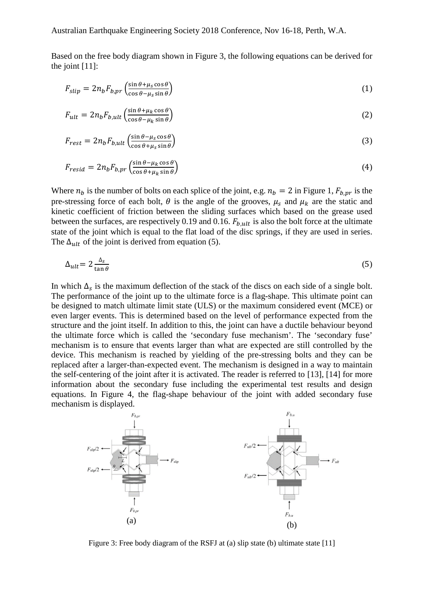Based on the free body diagram shown in [Figure 3,](#page-3-0) the following equations can be derived for the joint [11]:

$$
F_{slip} = 2n_b F_{b,pr} \left( \frac{\sin \theta + \mu_s \cos \theta}{\cos \theta - \mu_s \sin \theta} \right)
$$
 (1)

$$
F_{ult} = 2n_b F_{b,ult} \left( \frac{\sin \theta + \mu_k \cos \theta}{\cos \theta - \mu_k \sin \theta} \right)
$$
 (2)

$$
F_{rest} = 2n_b F_{b,ult} \left( \frac{\sin \theta - \mu_s \cos \theta}{\cos \theta + \mu_s \sin \theta} \right)
$$
 (3)

$$
F_{resid} = 2n_b F_{b,pr} \left( \frac{\sin \theta - \mu_k \cos \theta}{\cos \theta + \mu_k \sin \theta} \right)
$$
(4)

Where  $n_b$  is the number of bolts on each splice of the joint, e.g.  $n_b = 2$  in [Figure 1,](#page-2-0)  $F_{b,pr}$  is the pre-stressing force of each bolt,  $\theta$  is the angle of the grooves,  $\mu_s$  and  $\mu_k$  are the static and kinetic coefficient of friction between the sliding surfaces which based on the grease used between the surfaces, are respectively 0.19 and 0.16.  $F_{b,ult}$  is also the bolt force at the ultimate state of the joint which is equal to the flat load of the disc springs, if they are used in series. The  $\Delta_{ult}$  of the joint is derived from equation (5).

$$
\Delta_{ult} = 2 \frac{\Delta_s}{\tan \theta} \tag{5}
$$

In which  $\Delta_s$  is the maximum deflection of the stack of the discs on each side of a single bolt. The performance of the joint up to the ultimate force is a flag-shape. This ultimate point can be designed to match ultimate limit state (ULS) or the maximum considered event (MCE) or even larger events. This is determined based on the level of performance expected from the structure and the joint itself. In addition to this, the joint can have a ductile behaviour beyond the ultimate force which is called the 'secondary fuse mechanism'. The 'secondary fuse' mechanism is to ensure that events larger than what are expected are still controlled by the device. This mechanism is reached by yielding of the pre-stressing bolts and they can be replaced after a larger-than-expected event. The mechanism is designed in a way to maintain the self-centering of the joint after it is activated. The reader is referred to [13], [14] for more information about the secondary fuse including the experimental test results and design equations. In [Figure 4,](#page-4-0) the flag-shape behaviour of the joint with added secondary fuse mechanism is displayed.



<span id="page-3-0"></span>Figure 3: Free body diagram of the RSFJ at (a) slip state (b) ultimate state [11]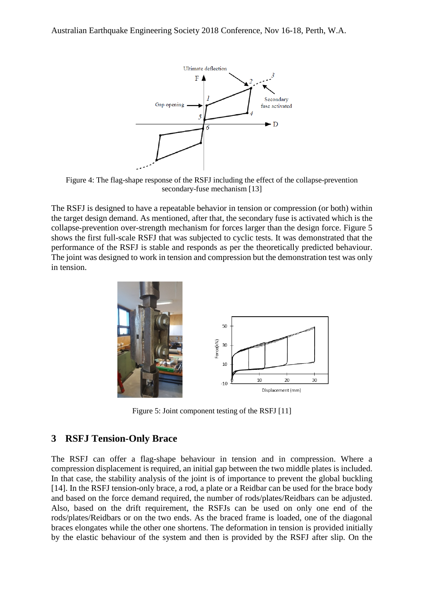

<span id="page-4-0"></span>Figure 4: The flag-shape response of the RSFJ including the effect of the collapse-prevention secondary-fuse mechanism [13]

The RSFJ is designed to have a repeatable behavior in tension or compression (or both) within the target design demand. As mentioned, after that, the secondary fuse is activated which is the collapse-prevention over-strength mechanism for forces larger than the design force. [Figure 5](#page-4-1) shows the first full-scale RSFJ that was subjected to cyclic tests. It was demonstrated that the performance of the RSFJ is stable and responds as per the theoretically predicted behaviour. The joint was designed to work in tension and compression but the demonstration test was only in tension.



Figure 5: Joint component testing of the RSFJ [11]

#### <span id="page-4-1"></span>**3 RSFJ Tension-Only Brace**

The RSFJ can offer a flag-shape behaviour in tension and in compression. Where a compression displacement is required, an initial gap between the two middle plates is included. In that case, the stability analysis of the joint is of importance to prevent the global buckling [14]. In the RSFJ tension-only brace, a rod, a plate or a Reidbar can be used for the brace body and based on the force demand required, the number of rods/plates/Reidbars can be adjusted. Also, based on the drift requirement, the RSFJs can be used on only one end of the rods/plates/Reidbars or on the two ends. As the braced frame is loaded, one of the diagonal braces elongates while the other one shortens. The deformation in tension is provided initially by the elastic behaviour of the system and then is provided by the RSFJ after slip. On the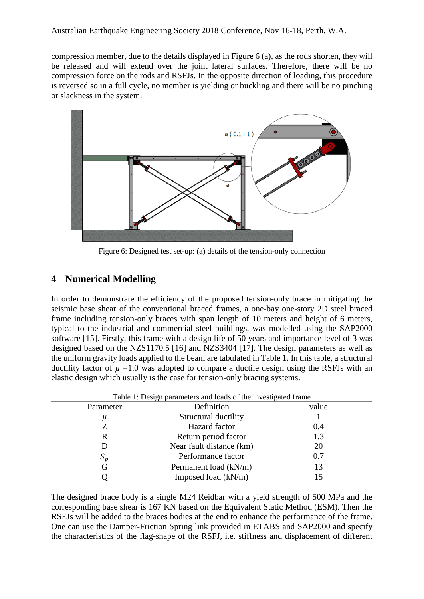compression member, due to the details displayed in [Figure 6](#page-5-0) (a), as the rods shorten, they will be released and will extend over the joint lateral surfaces. Therefore, there will be no compression force on the rods and RSFJs. In the opposite direction of loading, this procedure is reversed so in a full cycle, no member is yielding or buckling and there will be no pinching or slackness in the system.



Figure 6: Designed test set-up: (a) details of the tension-only connection

#### <span id="page-5-0"></span>**4 Numerical Modelling**

In order to demonstrate the efficiency of the proposed tension-only brace in mitigating the seismic base shear of the conventional braced frames, a one-bay one-story 2D steel braced frame including tension-only braces with span length of 10 meters and height of 6 meters, typical to the industrial and commercial steel buildings, was modelled using the SAP2000 software [15]. Firstly, this frame with a design life of 50 years and importance level of 3 was designed based on the NZS1170.5 [16] and NZS3404 [17]. The design parameters as well as the uniform gravity loads applied to the beam are tabulated in Table 1. In this table, a structural ductility factor of  $\mu$  =1.0 was adopted to compare a ductile design using the RSFJs with an elastic design which usually is the case for tension-only bracing systems.

| Table 1: Design parameters and loads of the investigated frame |                          |       |  |  |
|----------------------------------------------------------------|--------------------------|-------|--|--|
| Parameter                                                      | Definition               | value |  |  |
| μ                                                              | Structural ductility     |       |  |  |
|                                                                | Hazard factor            | 0.4   |  |  |
| R                                                              | Return period factor     | 1.3   |  |  |
| D                                                              | Near fault distance (km) | 20    |  |  |
| $S_p$                                                          | Performance factor       | 0.7   |  |  |
| G                                                              | Permanent load (kN/m)    | 13    |  |  |
|                                                                | Imposed load $(kN/m)$    | 15    |  |  |

The designed brace body is a single M24 Reidbar with a yield strength of 500 MPa and the corresponding base shear is 167 KN based on the Equivalent Static Method (ESM). Then the RSFJs will be added to the braces bodies at the end to enhance the performance of the frame. One can use the Damper-Friction Spring link provided in ETABS and SAP2000 and specify the characteristics of the flag-shape of the RSFJ, i.e. stiffness and displacement of different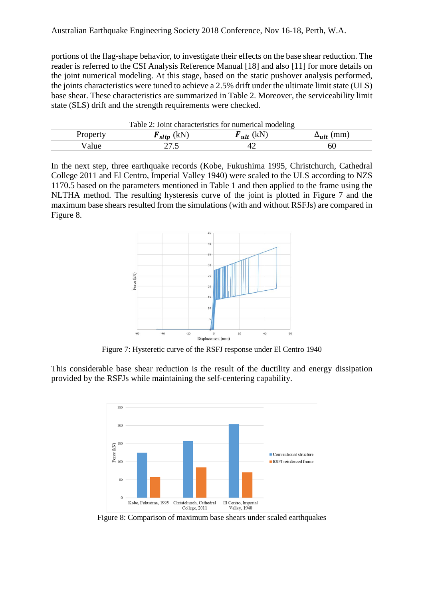portions of the flag-shape behavior, to investigate their effects on the base shear reduction. The reader is referred to the CSI Analysis Reference Manual [18] and also [11] for more details on the joint numerical modeling. At this stage, based on the static pushover analysis performed, the joints characteristics were tuned to achieve a 2.5% drift under the ultimate limit state (ULS) base shear. These characteristics are summarized in Table 2. Moreover, the serviceability limit state (SLS) drift and the strength requirements were checked.

| Table 2: Joint characteristics for numerical modeling |                              |                |                     |  |  |
|-------------------------------------------------------|------------------------------|----------------|---------------------|--|--|
| Property                                              | $\boldsymbol{F}_{slip}$ (kN) | $F_{ult}$ (kN) | $\Delta_{ult}$ (mm) |  |  |
| Value                                                 |                              |                | 60                  |  |  |

In the next step, three earthquake records (Kobe, Fukushima 1995, Christchurch, Cathedral College 2011 and El Centro, Imperial Valley 1940) were scaled to the ULS according to NZS 1170.5 based on the parameters mentioned in Table 1 and then applied to the frame using the NLTHA method. The resulting hysteresis curve of the joint is plotted in [Figure 7](#page-6-0) and the maximum base shears resulted from the simulations (with and without RSFJs) are compared in [Figure 8.](#page-6-1)



Figure 7: Hysteretic curve of the RSFJ response under El Centro 1940

<span id="page-6-0"></span>This considerable base shear reduction is the result of the ductility and energy dissipation provided by the RSFJs while maintaining the self-centering capability.



<span id="page-6-1"></span>Figure 8: Comparison of maximum base shears under scaled earthquakes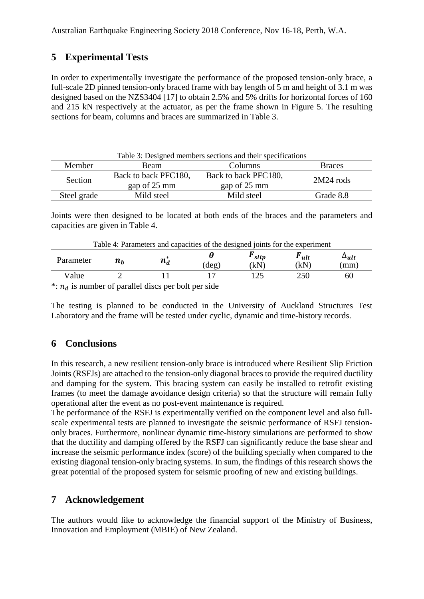## **5 Experimental Tests**

In order to experimentally investigate the performance of the proposed tension-only brace, a full-scale 2D pinned tension-only braced frame with bay length of 5 m and height of 3.1 m was designed based on the NZS3404 [17] to obtain 2.5% and 5% drifts for horizontal forces of 160 and 215 kN respectively at the actuator, as per the frame shown in [Figure 5.](#page-5-0) The resulting sections for beam, columns and braces are summarized in Table 3.

| Table 3: Designed members sections and their specifications |                                      |                                      |               |  |  |  |  |
|-------------------------------------------------------------|--------------------------------------|--------------------------------------|---------------|--|--|--|--|
| Member                                                      | Beam                                 | Columns                              | <b>Braces</b> |  |  |  |  |
| Section                                                     | Back to back PFC180,<br>gap of 25 mm | Back to back PFC180,<br>gap of 25 mm | $2M24$ rods   |  |  |  |  |
| Steel grade                                                 | Mild steel                           | Mild steel                           | Grade 8.8     |  |  |  |  |

Joints were then designed to be located at both ends of the braces and the parameters and capacities are given in Table 4.

| Table 4: Parameters and capacities of the designed joints for the experiment |                               |         |      |                            |                           |                        |  |
|------------------------------------------------------------------------------|-------------------------------|---------|------|----------------------------|---------------------------|------------------------|--|
| Parameter                                                                    | $\boldsymbol{n}_{\mathbf{h}}$ | $n_d^*$ | deg) | $\mathbf{r}_{slip}$<br>(kN | $\mathbf{r}_{ult}$<br>(kN | $\Delta_{ult}$<br>(mm) |  |
| Value                                                                        |                               |         |      |                            | 250                       | 60                     |  |
|                                                                              | $\sim$                        | ------- | . .  |                            |                           |                        |  |

\*:  $n_d$  is number of parallel discs per bolt per side

The testing is planned to be conducted in the University of Auckland Structures Test Laboratory and the frame will be tested under cyclic, dynamic and time-history records.

#### **6 Conclusions**

In this research, a new resilient tension-only brace is introduced where Resilient Slip Friction Joints (RSFJs) are attached to the tension-only diagonal braces to provide the required ductility and damping for the system. This bracing system can easily be installed to retrofit existing frames (to meet the damage avoidance design criteria) so that the structure will remain fully operational after the event as no post-event maintenance is required.

The performance of the RSFJ is experimentally verified on the component level and also fullscale experimental tests are planned to investigate the seismic performance of RSFJ tensiononly braces. Furthermore, nonlinear dynamic time-history simulations are performed to show that the ductility and damping offered by the RSFJ can significantly reduce the base shear and increase the seismic performance index (score) of the building specially when compared to the existing diagonal tension-only bracing systems. In sum, the findings of this research shows the great potential of the proposed system for seismic proofing of new and existing buildings.

#### **7 Acknowledgement**

The authors would like to acknowledge the financial support of the Ministry of Business, Innovation and Employment (MBIE) of New Zealand.